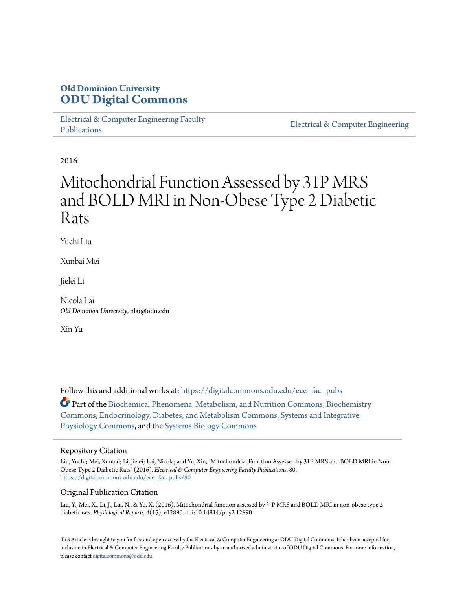### **Old Dominion University [ODU Digital Commons](https://digitalcommons.odu.edu?utm_source=digitalcommons.odu.edu%2Fece_fac_pubs%2F80&utm_medium=PDF&utm_campaign=PDFCoverPages)**

[Electrical & Computer Engineering Faculty](https://digitalcommons.odu.edu/ece_fac_pubs?utm_source=digitalcommons.odu.edu%2Fece_fac_pubs%2F80&utm_medium=PDF&utm_campaign=PDFCoverPages) [Publications](https://digitalcommons.odu.edu/ece_fac_pubs?utm_source=digitalcommons.odu.edu%2Fece_fac_pubs%2F80&utm_medium=PDF&utm_campaign=PDFCoverPages)

[Electrical & Computer Engineering](https://digitalcommons.odu.edu/ece?utm_source=digitalcommons.odu.edu%2Fece_fac_pubs%2F80&utm_medium=PDF&utm_campaign=PDFCoverPages)

2016

# Mitochondrial Function Assessed by 31P MRS and BOLD MRI in Non-Obese Type 2 Diabetic Rats

Yuchi Liu

Xunbai Mei

Jielei Li

Nicola Lai *Old Dominion University*, nlai@odu.edu

Xin Yu

Follow this and additional works at: [https://digitalcommons.odu.edu/ece\\_fac\\_pubs](https://digitalcommons.odu.edu/ece_fac_pubs?utm_source=digitalcommons.odu.edu%2Fece_fac_pubs%2F80&utm_medium=PDF&utm_campaign=PDFCoverPages) Part of the [Biochemical Phenomena, Metabolism, and Nutrition Commons,](http://network.bepress.com/hgg/discipline/1012?utm_source=digitalcommons.odu.edu%2Fece_fac_pubs%2F80&utm_medium=PDF&utm_campaign=PDFCoverPages) [Biochemistry](http://network.bepress.com/hgg/discipline/2?utm_source=digitalcommons.odu.edu%2Fece_fac_pubs%2F80&utm_medium=PDF&utm_campaign=PDFCoverPages) [Commons,](http://network.bepress.com/hgg/discipline/2?utm_source=digitalcommons.odu.edu%2Fece_fac_pubs%2F80&utm_medium=PDF&utm_campaign=PDFCoverPages) [Endocrinology, Diabetes, and Metabolism Commons](http://network.bepress.com/hgg/discipline/686?utm_source=digitalcommons.odu.edu%2Fece_fac_pubs%2F80&utm_medium=PDF&utm_campaign=PDFCoverPages), [Systems and Integrative](http://network.bepress.com/hgg/discipline/74?utm_source=digitalcommons.odu.edu%2Fece_fac_pubs%2F80&utm_medium=PDF&utm_campaign=PDFCoverPages) [Physiology Commons,](http://network.bepress.com/hgg/discipline/74?utm_source=digitalcommons.odu.edu%2Fece_fac_pubs%2F80&utm_medium=PDF&utm_campaign=PDFCoverPages) and the [Systems Biology Commons](http://network.bepress.com/hgg/discipline/112?utm_source=digitalcommons.odu.edu%2Fece_fac_pubs%2F80&utm_medium=PDF&utm_campaign=PDFCoverPages)

#### Repository Citation

Liu, Yuchi; Mei, Xunbai; Li, Jielei; Lai, Nicola; and Yu, Xin, "Mitochondrial Function Assessed by 31P MRS and BOLD MRI in Non-Obese Type 2 Diabetic Rats" (2016). *Electrical & Computer Engineering Faculty Publications*. 80. [https://digitalcommons.odu.edu/ece\\_fac\\_pubs/80](https://digitalcommons.odu.edu/ece_fac_pubs/80?utm_source=digitalcommons.odu.edu%2Fece_fac_pubs%2F80&utm_medium=PDF&utm_campaign=PDFCoverPages)

#### Original Publication Citation

Liu, Y., Mei, X., Li, J., Lai, N., & Yu, X. (2016). Mitochondrial function assessed by <sup>31</sup>P MRS and BOLD MRI in non-obese type 2 diabetic rats. *Physiological Reports, 4*(15), e12890. doi:10.14814/phy2.12890

This Article is brought to you for free and open access by the Electrical & Computer Engineering at ODU Digital Commons. It has been accepted for inclusion in Electrical & Computer Engineering Faculty Publications by an authorized administrator of ODU Digital Commons. For more information, please contact [digitalcommons@odu.edu](mailto:digitalcommons@odu.edu).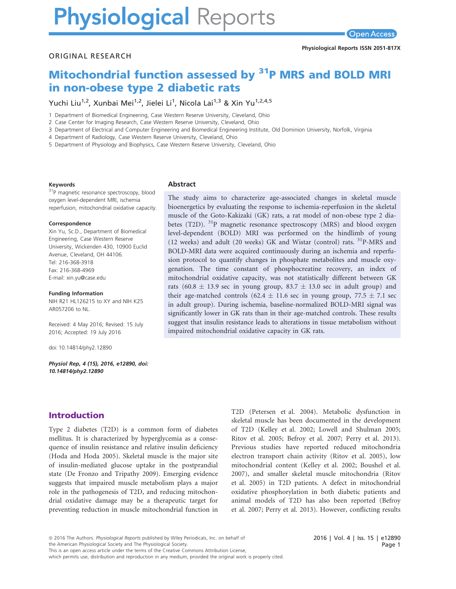# **Physiological Reports**

#### ORIGINAL RESEARCH

## Mitochondrial function assessed by <sup>31</sup>P MRS and BOLD MRI in non-obese type 2 diabetic rats

Yuchi Liu<sup>1,2</sup>, Xunbai Mei<sup>1,2</sup>, Jielei Li<sup>1</sup>, Nicola Lai<sup>1,3</sup> & Xin Yu<sup>1,2,4,5</sup>

1 Department of Biomedical Engineering, Case Western Reserve University, Cleveland, Ohio

2 Case Center for Imaging Research, Case Western Reserve University, Cleveland, Ohio

3 Department of Electrical and Computer Engineering and Biomedical Engineering Institute, Old Dominion University, Norfolk, Virginia

4 Department of Radiology, Case Western Reserve University, Cleveland, Ohio

5 Department of Physiology and Biophysics, Case Western Reserve University, Cleveland, Ohio

#### Keywords

<sup>31</sup>P magnetic resonance spectroscopy, blood oxygen level-dependent MRI, ischemia reperfusion, mitochondrial oxidative capacity.

#### Correspondence

Xin Yu, Sc.D., Department of Biomedical Engineering, Case Western Reserve University, Wickenden 430, 10900 Euclid Avenue, Cleveland, OH 44106. Tel: 216-368-3918 Fax: 216-368-4969 E-mail: xin.yu@case.edu

#### Funding Information

NIH R21 HL126215 to XY and NIH K25 AR057206 to NL.

Received: 4 May 2016; Revised: 15 July 2016; Accepted: 19 July 2016

doi: 10.14814/phy2.12890

Physiol Rep, 4 (15), 2016, e12890, doi: [10.14814/phy2.12890](info:doi/10.14814/phy2.12890)

#### Abstract

The study aims to characterize age-associated changes in skeletal muscle bioenergetics by evaluating the response to ischemia-reperfusion in the skeletal muscle of the Goto-Kakizaki (GK) rats, a rat model of non-obese type 2 diabetes (T2D).  $31P$  magnetic resonance spectroscopy (MRS) and blood oxygen level-dependent (BOLD) MRI was performed on the hindlimb of young (12 weeks) and adult (20 weeks) GK and Wistar (control) rats. 31P-MRS and BOLD-MRI data were acquired continuously during an ischemia and reperfusion protocol to quantify changes in phosphate metabolites and muscle oxygenation. The time constant of phosphocreatine recovery, an index of mitochondrial oxidative capacity, was not statistically different between GK rats (60.8  $\pm$  13.9 sec in young group, 83.7  $\pm$  13.0 sec in adult group) and their age-matched controls (62.4  $\pm$  11.6 sec in young group, 77.5  $\pm$  7.1 sec in adult group). During ischemia, baseline-normalized BOLD-MRI signal was significantly lower in GK rats than in their age-matched controls. These results suggest that insulin resistance leads to alterations in tissue metabolism without impaired mitochondrial oxidative capacity in GK rats.

#### Introduction

Type 2 diabetes (T2D) is a common form of diabetes mellitus. It is characterized by hyperglycemia as a consequence of insulin resistance and relative insulin deficiency (Hoda and Hoda 2005). Skeletal muscle is the major site of insulin-mediated glucose uptake in the postprandial state (De Fronzo and Tripathy 2009). Emerging evidence suggests that impaired muscle metabolism plays a major role in the pathogenesis of T2D, and reducing mitochondrial oxidative damage may be a therapeutic target for preventing reduction in muscle mitochondrial function in

T2D (Petersen et al. 2004). Metabolic dysfunction in skeletal muscle has been documented in the development of T2D (Kelley et al. 2002; Lowell and Shulman 2005; Ritov et al. 2005; Befroy et al. 2007; Perry et al. 2013). Previous studies have reported reduced mitochondria electron transport chain activity (Ritov et al. 2005), low mitochondrial content (Kelley et al. 2002; Boushel et al. 2007), and smaller skeletal muscle mitochondria (Ritov et al. 2005) in T2D patients. A defect in mitochondrial oxidative phosphorylation in both diabetic patients and animal models of T2D has also been reported (Befroy et al. 2007; Perry et al. 2013). However, conflicting results

the American Physiological Society and The Physiological Society.

This is an open access article under the terms of the [Creative Commons Attribution](http://creativecommons.org/licenses/by/4.0/) License,

which permits use, distribution and reproduction in any medium, provided the original work is properly cited.

<sup>ª</sup> 2016 The Authors. Physiological Reports published by Wiley Periodicals, Inc. on behalf of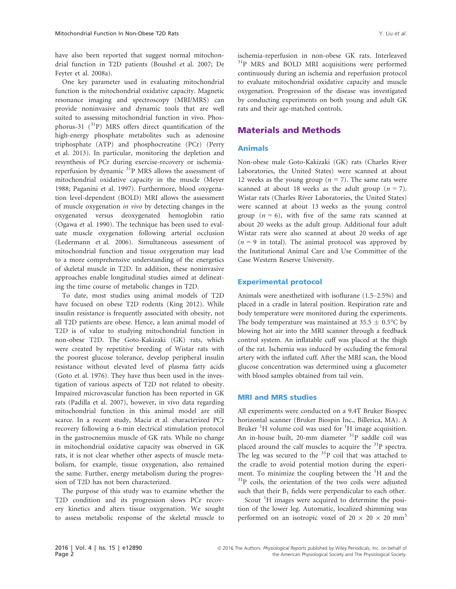have also been reported that suggest normal mitochondrial function in T2D patients (Boushel et al. 2007; De Feyter et al. 2008a).

One key parameter used in evaluating mitochondrial function is the mitochondrial oxidative capacity. Magnetic resonance imaging and spectroscopy (MRI/MRS) can provide noninvasive and dynamic tools that are well suited to assessing mitochondrial function in vivo. Phosphorus-31  $(^{31}P)$  MRS offers direct quantification of the high-energy phosphate metabolites such as adenosine triphosphate (ATP) and phosphocreatine (PCr) (Perry et al. 2013). In particular, monitoring the depletion and resynthesis of PCr during exercise-recovery or ischemiareperfusion by dynamic  $31P$  MRS allows the assessment of mitochondrial oxidative capacity in the muscle (Meyer 1988; Paganini et al. 1997). Furthermore, blood oxygenation level-dependent (BOLD) MRI allows the assessment of muscle oxygenation in vivo by detecting changes in the oxygenated versus deoxygenated hemoglobin ratio (Ogawa et al. 1990). The technique has been used to evaluate muscle oxygenation following arterial occlusion (Ledermann et al. 2006). Simultaneous assessment of mitochondrial function and tissue oxygenation may lead to a more comprehensive understanding of the energetics of skeletal muscle in T2D. In addition, these noninvasive approaches enable longitudinal studies aimed at delineating the time course of metabolic changes in T2D.

To date, most studies using animal models of T2D have focused on obese T2D rodents (King 2012). While insulin resistance is frequently associated with obesity, not all T2D patients are obese. Hence, a lean animal model of T2D is of value to studying mitochondrial function in non-obese T2D. The Goto-Kakizaki (GK) rats, which were created by repetitive breeding of Wistar rats with the poorest glucose tolerance, develop peripheral insulin resistance without elevated level of plasma fatty acids (Goto et al. 1976). They have thus been used in the investigation of various aspects of T2D not related to obesity. Impaired microvascular function has been reported in GK rats (Padilla et al. 2007), however, in vivo data regarding mitochondrial function in this animal model are still scarce. In a recent study, Macia et al. characterized PCr recovery following a 6-min electrical stimulation protocol in the gastrocnemius muscle of GK rats. While no change in mitochondrial oxidative capacity was observed in GK rats, it is not clear whether other aspects of muscle metabolism, for example, tissue oxygenation, also remained the same. Further, energy metabolism during the progression of T2D has not been characterized.

The purpose of this study was to examine whether the T2D condition and its progression slows PCr recovery kinetics and alters tissue oxygenation. We sought to assess metabolic response of the skeletal muscle to ischemia-reperfusion in non-obese GK rats. Interleaved <sup>31</sup>P MRS and BOLD MRI acquisitions were performed continuously during an ischemia and reperfusion protocol to evaluate mitochondrial oxidative capacity and muscle oxygenation. Progression of the disease was investigated by conducting experiments on both young and adult GK rats and their age-matched controls.

#### Materials and Methods

#### Animals

Non-obese male Goto-Kakizaki (GK) rats (Charles River Laboratories, the United States) were scanned at about 12 weeks as the young group ( $n = 7$ ). The same rats were scanned at about 18 weeks as the adult group ( $n = 7$ ). Wistar rats (Charles River Laboratories, the United States) were scanned at about 13 weeks as the young control group  $(n = 6)$ , with five of the same rats scanned at about 20 weeks as the adult group. Additional four adult Wistar rats were also scanned at about 20 weeks of age  $(n = 9$  in total). The animal protocol was approved by the Institutional Animal Care and Use Committee of the Case Western Reserve University.

#### Experimental protocol

Animals were anesthetized with isoflurane (1.5–2.5%) and placed in a cradle in lateral position. Respiration rate and body temperature were monitored during the experiments. The body temperature was maintained at 35.5  $\pm$  0.5°C by blowing hot air into the MRI scanner through a feedback control system. An inflatable cuff was placed at the thigh of the rat. Ischemia was induced by occluding the femoral artery with the inflated cuff. After the MRI scan, the blood glucose concentration was determined using a glucometer with blood samples obtained from tail vein.

#### MRI and MRS studies

All experiments were conducted on a 9.4T Bruker Biospec horizontal scanner (Bruker Biospin Inc., Billerica, MA). A Bruker<sup>1</sup>H volume coil was used for<sup>1</sup>H image acquisition. An in-house built, 20-mm diameter <sup>31</sup>P saddle coil was placed around the calf muscles to acquire the  $31P$  spectra. The leg was secured to the  $31P$  coil that was attached to the cradle to avoid potential motion during the experiment. To minimize the coupling between the <sup>1</sup>H and the  $31P$  coils, the orientation of the two coils were adjusted such that their  $B_1$  fields were perpendicular to each other.

Scout <sup>1</sup>H images were acquired to determine the position of the lower leg. Automatic, localized shimming was performed on an isotropic voxel of  $20 \times 20 \times 20$  mm<sup>3</sup>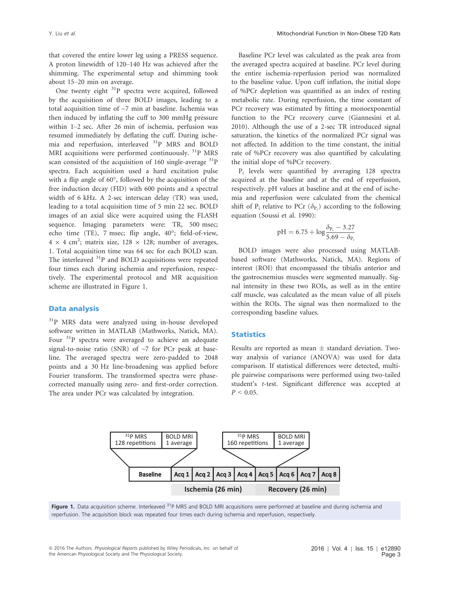that covered the entire lower leg using a PRESS sequence. A proton linewidth of 120–140 Hz was achieved after the shimming. The experimental setup and shimming took about 15–20 min on average.

One twenty eight  $31P$  spectra were acquired, followed by the acquisition of three BOLD images, leading to a total acquisition time of ~7 min at baseline. Ischemia was then induced by inflating the cuff to 300 mmHg pressure within 1–2 sec. After 26 min of ischemia, perfusion was resumed immediately by deflating the cuff. During ischemia and reperfusion, interleaved <sup>31</sup>P MRS and BOLD MRI acquisitions were performed continuously.  $\mathrm{^{31}P}$  MRS scan consisted of the acquisition of 160 single-average  ${}^{31}P$ spectra. Each acquisition used a hard excitation pulse with a flip angle of 60°, followed by the acquisition of the free induction decay (FID) with 600 points and a spectral width of 6 kHz. A 2-sec interscan delay (TR) was used, leading to a total acquisition time of 5 min 22 sec. BOLD images of an axial slice were acquired using the FLASH sequence. Imaging parameters were: TR, 500 msec; echo time (TE), 7 msec; flip angle, 40°; field-of-view,  $4 \times 4$  cm<sup>2</sup>; matrix size, 128  $\times$  128; number of averages, 1. Total acquisition time was 64 sec for each BOLD scan. The interleaved <sup>31</sup>P and BOLD acquisitions were repeated four times each during ischemia and reperfusion, respectively. The experimental protocol and MR acquisition scheme are illustrated in Figure 1.

#### Data analysis

<sup>31</sup>P MRS data were analyzed using in-house developed software written in MATLAB (Mathworks, Natick, MA). Four  $31P$  spectra were averaged to achieve an adequate signal-to-noise ratio (SNR) of  $\sim$ 7 for PCr peak at baseline. The averaged spectra were zero-padded to 2048 points and a 30 Hz line-broadening was applied before Fourier transform. The transformed spectra were phasecorrected manually using zero- and first-order correction. The area under PCr was calculated by integration.

Baseline PCr level was calculated as the peak area from the averaged spectra acquired at baseline. PCr level during the entire ischemia-reperfusion period was normalized to the baseline value. Upon cuff inflation, the initial slope of %PCr depletion was quantified as an index of resting metabolic rate. During reperfusion, the time constant of PCr recovery was estimated by fitting a monoexponential function to the PCr recovery curve (Giannesini et al. 2010). Although the use of a 2-sec TR introduced signal saturation, the kinetics of the normalized PCr signal was not affected. In addition to the time constant, the initial rate of %PCr recovery was also quantified by calculating the initial slope of %PCr recovery.

 $P_i$  levels were quantified by averaging 128 spectra acquired at the baseline and at the end of reperfusion, respectively. pH values at baseline and at the end of ischemia and reperfusion were calculated from the chemical shift of  $P_i$  relative to PCr ( $\delta_{P_i}$ ) according to the following equation (Soussi et al. 1990):

$$
pH=6.75+\log\frac{\delta_{P_i}-3.27}{5.69-\delta_{P_i}}
$$

BOLD images were also processed using MATLABbased software (Mathworks, Natick, MA). Regions of interest (ROI) that encompassed the tibialis anterior and the gastrocnemius muscles were segmented manually. Signal intensity in these two ROIs, as well as in the entire calf muscle, was calculated as the mean value of all pixels within the ROIs. The signal was then normalized to the corresponding baseline values.

#### **Statistics**

Results are reported as mean  $\pm$  standard deviation. Twoway analysis of variance (ANOVA) was used for data comparison. If statistical differences were detected, multiple pairwise comparisons were performed using two-tailed student's t-test. Significant difference was accepted at  $P < 0.05$ .



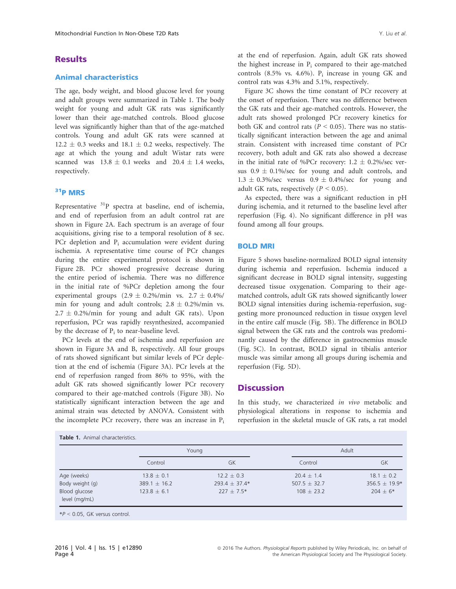#### **Results**

#### Animal characteristics

The age, body weight, and blood glucose level for young and adult groups were summarized in Table 1. The body weight for young and adult GK rats was significantly lower than their age-matched controls. Blood glucose level was significantly higher than that of the age-matched controls. Young and adult GK rats were scanned at  $12.2 \pm 0.3$  weeks and  $18.1 \pm 0.2$  weeks, respectively. The age at which the young and adult Wistar rats were scanned was  $13.8 \pm 0.1$  weeks and  $20.4 \pm 1.4$  weeks, respectively.

#### 31P MRS

Representative  $3^{31}P$  spectra at baseline, end of ischemia, and end of reperfusion from an adult control rat are shown in Figure 2A. Each spectrum is an average of four acquisitions, giving rise to a temporal resolution of 8 sec. PCr depletion and P<sub>i</sub> accumulation were evident during ischemia. A representative time course of PCr changes during the entire experimental protocol is shown in Figure 2B. PCr showed progressive decrease during the entire period of ischemia. There was no difference in the initial rate of %PCr depletion among the four experimental groups  $(2.9 \pm 0.2\%)$  min vs.  $2.7 \pm 0.4\%$ min for young and adult controls;  $2.8 \pm 0.2\%$ /min vs.  $2.7 \pm 0.2\%$ /min for young and adult GK rats). Upon reperfusion, PCr was rapidly resynthesized, accompanied by the decrease of  $P_i$  to near-baseline level.

PCr levels at the end of ischemia and reperfusion are shown in Figure 3A and B, respectively. All four groups of rats showed significant but similar levels of PCr depletion at the end of ischemia (Figure 3A). PCr levels at the end of reperfusion ranged from 86% to 95%, with the adult GK rats showed significantly lower PCr recovery compared to their age-matched controls (Figure 3B). No statistically significant interaction between the age and animal strain was detected by ANOVA. Consistent with the incomplete PCr recovery, there was an increase in  $P_i$ 

| Table 1. Animal characteristics. |  |
|----------------------------------|--|
|----------------------------------|--|

at the end of reperfusion. Again, adult GK rats showed the highest increase in  $P_i$  compared to their age-matched controls  $(8.5\%$  vs. 4.6%). P<sub>i</sub> increase in young GK and control rats was 4.3% and 5.1%, respectively.

Figure 3C shows the time constant of PCr recovery at the onset of reperfusion. There was no difference between the GK rats and their age-matched controls. However, the adult rats showed prolonged PCr recovery kinetics for both GK and control rats ( $P < 0.05$ ). There was no statistically significant interaction between the age and animal strain. Consistent with increased time constant of PCr recovery, both adult and GK rats also showed a decrease in the initial rate of %PCr recovery:  $1.2 \pm 0.2$ %/sec versus  $0.9 \pm 0.1\%$ /sec for young and adult controls, and  $1.3 \pm 0.3\%$ /sec versus  $0.9 \pm 0.4\%$ /sec for young and adult GK rats, respectively ( $P < 0.05$ ).

As expected, there was a significant reduction in pH during ischemia, and it returned to the baseline level after reperfusion (Fig. 4). No significant difference in pH was found among all four groups.

#### BOLD MRI

Figure 5 shows baseline-normalized BOLD signal intensity during ischemia and reperfusion. Ischemia induced a significant decrease in BOLD signal intensity, suggesting decreased tissue oxygenation. Comparing to their agematched controls, adult GK rats showed significantly lower BOLD signal intensities during ischemia-reperfusion, suggesting more pronounced reduction in tissue oxygen level in the entire calf muscle (Fig. 5B). The difference in BOLD signal between the GK rats and the controls was predominantly caused by the difference in gastrocnemius muscle (Fig. 5C). In contrast, BOLD signal in tibialis anterior muscle was similar among all groups during ischemia and reperfusion (Fig. 5D).

#### **Discussion**

In this study, we characterized in vivo metabolic and physiological alterations in response to ischemia and reperfusion in the skeletal muscle of GK rats, a rat model

|                                | Young            |                   | Adult            |                   |
|--------------------------------|------------------|-------------------|------------------|-------------------|
|                                | Control          | GK                | Control          | GK                |
| Age (weeks)                    | $13.8 \pm 0.1$   | $12.2 \pm 0.3$    | $20.4 \pm 1.4$   | $18.1 \pm 0.2$    |
| Body weight (g)                | $389.1 \pm 16.2$ | $293.4 \pm 37.4*$ | $507.5 \pm 32.7$ | $356.5 \pm 19.9*$ |
| Blood glucose<br>level (mg/mL) | $123.8 \pm 6.1$  | $227 \pm 7.5*$    | $108 \pm 23.2$   | $204 \pm 6*$      |

 $*P < 0.05$ , GK versus control.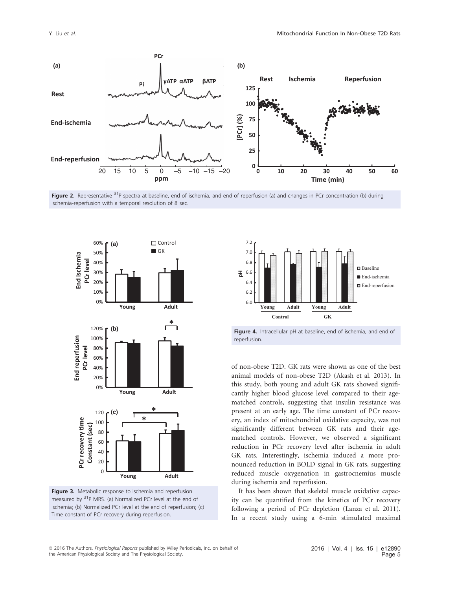

Figure 2. Representative <sup>31</sup>P spectra at baseline, end of ischemia, and end of reperfusion (a) and changes in PCr concentration (b) during ischemia-reperfusion with a temporal resolution of 8 sec.









of non-obese T2D. GK rats were shown as one of the best animal models of non-obese T2D (Akash et al. 2013). In this study, both young and adult GK rats showed significantly higher blood glucose level compared to their agematched controls, suggesting that insulin resistance was present at an early age. The time constant of PCr recovery, an index of mitochondrial oxidative capacity, was not significantly different between GK rats and their agematched controls. However, we observed a significant reduction in PCr recovery level after ischemia in adult GK rats. Interestingly, ischemia induced a more pronounced reduction in BOLD signal in GK rats, suggesting reduced muscle oxygenation in gastrocnemius muscle during ischemia and reperfusion.

It has been shown that skeletal muscle oxidative capacity can be quantified from the kinetics of PCr recovery following a period of PCr depletion (Lanza et al. 2011). In a recent study using a 6-min stimulated maximal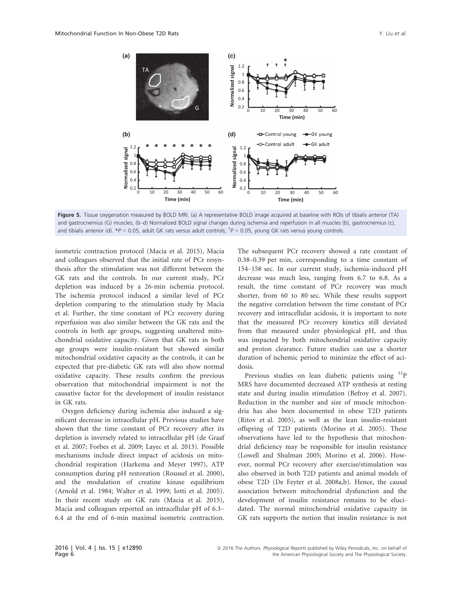

Figure 5. Tissue oxygenation measured by BOLD MRI. (a) A representative BOLD image acquired at baseline with ROIs of tibialis anterior (TA) and gastrocnemius (G) muscles; (b–d) Normalized BOLD signal changes during ischemia and reperfusion in all muscles (b), gastrocnemius (c), and tibialis anterior (d).  $*P < 0.05$ , adult GK rats versus adult controls;  $\frac{1}{P} < 0.05$ , young GK rats versus young controls.

isometric contraction protocol (Macia et al. 2015), Macia and colleagues observed that the initial rate of PCr resynthesis after the stimulation was not different between the GK rats and the controls. In our current study, PCr depletion was induced by a 26-min ischemia protocol. The ischemia protocol induced a similar level of PCr depletion comparing to the stimulation study by Macia et al. Further, the time constant of PCr recovery during reperfusion was also similar between the GK rats and the controls in both age groups, suggesting unaltered mitochondrial oxidative capacity. Given that GK rats in both age groups were insulin-resistant but showed similar mitochondrial oxidative capacity as the controls, it can be expected that pre-diabetic GK rats will also show normal oxidative capacity. These results confirm the previous observation that mitochondrial impairment is not the causative factor for the development of insulin resistance in GK rats.

Oxygen deficiency during ischemia also induced a significant decrease in intracellular pH. Previous studies have shown that the time constant of PCr recovery after its depletion is inversely related to intracellular pH (de Graaf et al. 2007; Forbes et al. 2009; Layec et al. 2013). Possible mechanisms include direct impact of acidosis on mitochondrial respiration (Harkema and Meyer 1997), ATP consumption during pH restoration (Roussel et al. 2000), and the modulation of creatine kinase equilibrium (Arnold et al. 1984; Walter et al. 1999; Iotti et al. 2005). In their recent study on GK rats (Macia et al. 2015), Macia and colleagues reported an intracellular pH of 6.3– 6.4 at the end of 6-min maximal isometric contraction. The subsequent PCr recovery showed a rate constant of 0.38–0.39 per min, corresponding to a time constant of 154–158 sec. In our current study, ischemia-induced pH decrease was much less, ranging from 6.7 to 6.8. As a result, the time constant of PCr recovery was much shorter, from 60 to 80 sec. While these results support the negative correlation between the time constant of PCr recovery and intracellular acidosis, it is important to note that the measured PCr recovery kinetics still deviated from that measured under physiological pH, and thus was impacted by both mitochondrial oxidative capacity and proton clearance. Future studies can use a shorter duration of ischemic period to minimize the effect of acidosis.

Previous studies on lean diabetic patients using  ${}^{31}P$ MRS have documented decreased ATP synthesis at resting state and during insulin stimulation (Befroy et al. 2007). Reduction in the number and size of muscle mitochondria has also been documented in obese T2D patients (Ritov et al. 2005), as well as the lean insulin-resistant offspring of T2D patients (Morino et al. 2005). These observations have led to the hypothesis that mitochondrial deficiency may be responsible for insulin resistance (Lowell and Shulman 2005; Morino et al. 2006). However, normal PCr recovery after exercise/stimulation was also observed in both T2D patients and animal models of obese T2D (De Feyter et al. 2008a,b). Hence, the causal association between mitochondrial dysfunction and the development of insulin resistance remains to be elucidated. The normal mitochondrial oxidative capacity in GK rats supports the notion that insulin resistance is not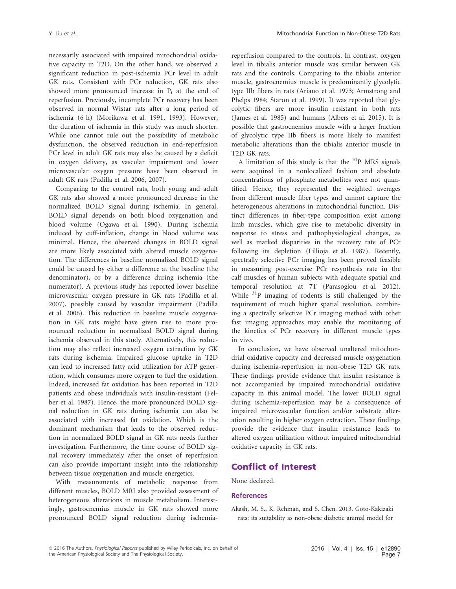necessarily associated with impaired mitochondrial oxidative capacity in T2D. On the other hand, we observed a significant reduction in post-ischemia PCr level in adult GK rats. Consistent with PCr reduction, GK rats also showed more pronounced increase in  $P_i$  at the end of reperfusion. Previously, incomplete PCr recovery has been observed in normal Wistar rats after a long period of ischemia (6 h) (Morikawa et al. 1991, 1993). However, the duration of ischemia in this study was much shorter. While one cannot rule out the possibility of metabolic dysfunction, the observed reduction in end-reperfusion PCr level in adult GK rats may also be caused by a deficit in oxygen delivery, as vascular impairment and lower microvascular oxygen pressure have been observed in adult GK rats (Padilla et al. 2006, 2007).

Comparing to the control rats, both young and adult GK rats also showed a more pronounced decrease in the normalized BOLD signal during ischemia. In general, BOLD signal depends on both blood oxygenation and blood volume (Ogawa et al. 1990). During ischemia induced by cuff-inflation, change in blood volume was minimal. Hence, the observed changes in BOLD signal are more likely associated with altered muscle oxygenation. The differences in baseline normalized BOLD signal could be caused by either a difference at the baseline (the denominator), or by a difference during ischemia (the numerator). A previous study has reported lower baseline microvascular oxygen pressure in GK rats (Padilla et al. 2007), possibly caused by vascular impairment (Padilla et al. 2006). This reduction in baseline muscle oxygenation in GK rats might have given rise to more pronounced reduction in normalized BOLD signal during ischemia observed in this study. Alternatively, this reduction may also reflect increased oxygen extraction by GK rats during ischemia. Impaired glucose uptake in T2D can lead to increased fatty acid utilization for ATP generation, which consumes more oxygen to fuel the oxidation. Indeed, increased fat oxidation has been reported in T2D patients and obese individuals with insulin-resistant (Felber et al. 1987). Hence, the more pronounced BOLD signal reduction in GK rats during ischemia can also be associated with increased fat oxidation. Which is the dominant mechanism that leads to the observed reduction in normalized BOLD signal in GK rats needs further investigation. Furthermore, the time course of BOLD signal recovery immediately after the onset of reperfusion can also provide important insight into the relationship between tissue oxygenation and muscle energetics.

With measurements of metabolic response from different muscles, BOLD MRI also provided assessment of heterogeneous alterations in muscle metabolism. Interestingly, gastrocnemius muscle in GK rats showed more pronounced BOLD signal reduction during ischemiareperfusion compared to the controls. In contrast, oxygen level in tibialis anterior muscle was similar between GK rats and the controls. Comparing to the tibialis anterior muscle, gastrocnemius muscle is predominantly glycolytic type IIb fibers in rats (Ariano et al. 1973; Armstrong and Phelps 1984; Staron et al. 1999). It was reported that glycolytic fibers are more insulin resistant in both rats (James et al. 1985) and humans (Albers et al. 2015). It is possible that gastrocnemius muscle with a larger fraction of glycolytic type IIb fibers is more likely to manifest metabolic alterations than the tibialis anterior muscle in T2D GK rats.

A limitation of this study is that the  $31P$  MRS signals were acquired in a nonlocalized fashion and absolute concentrations of phosphate metabolites were not quantified. Hence, they represented the weighted averages from different muscle fiber types and cannot capture the heterogeneous alterations in mitochondrial function. Distinct differences in fiber-type composition exist among limb muscles, which give rise to metabolic diversity in response to stress and pathophysiological changes, as well as marked disparities in the recovery rate of PCr following its depletion (Lillioja et al. 1987). Recently, spectrally selective PCr imaging has been proved feasible in measuring post-exercise PCr resynthesis rate in the calf muscles of human subjects with adequate spatial and temporal resolution at 7T (Parasoglou et al. 2012). While  $3^{3}P$  imaging of rodents is still challenged by the requirement of much higher spatial resolution, combining a spectrally selective PCr imaging method with other fast imaging approaches may enable the monitoring of the kinetics of PCr recovery in different muscle types in vivo.

In conclusion, we have observed unaltered mitochondrial oxidative capacity and decreased muscle oxygenation during ischemia-reperfusion in non-obese T2D GK rats. These findings provide evidence that insulin resistance is not accompanied by impaired mitochondrial oxidative capacity in this animal model. The lower BOLD signal during ischemia-reperfusion may be a consequence of impaired microvascular function and/or substrate alteration resulting in higher oxygen extraction. These findings provide the evidence that insulin resistance leads to altered oxygen utilization without impaired mitochondrial oxidative capacity in GK rats.

#### Conflict of Interest

None declared.

#### References

Akash, M. S., K. Rehman, and S. Chen. 2013. Goto-Kakizaki rats: its suitability as non-obese diabetic animal model for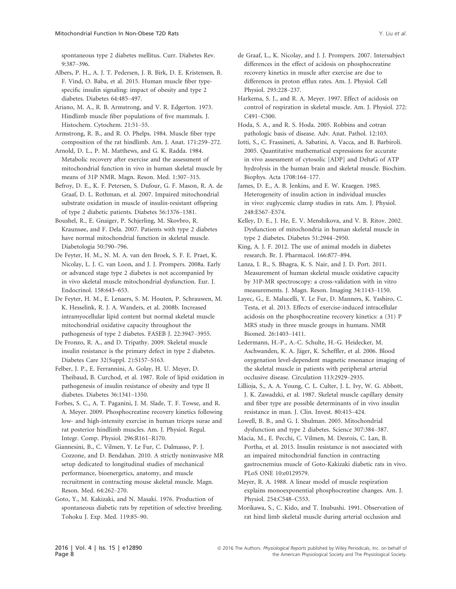spontaneous type 2 diabetes mellitus. Curr. Diabetes Rev. 9:387–396.

Albers, P. H., A. J. T. Pedersen, J. B. Birk, D. E. Kristensen, B. F. Vind, O. Baba, et al. 2015. Human muscle fiber typespecific insulin signaling: impact of obesity and type 2 diabetes. Diabetes 64:485–497.

Ariano, M. A., R. B. Armstrong, and V. R. Edgerton. 1973. Hindlimb muscle fiber populations of five mammals. J. Histochem. Cytochem. 21:51–55.

Armstrong, R. B., and R. O. Phelps. 1984. Muscle fiber type composition of the rat hindlimb. Am. J. Anat. 171:259–272.

Arnold, D. L., P. M. Matthews, and G. K. Radda. 1984. Metabolic recovery after exercise and the assessment of mitochondrial function in vivo in human skeletal muscle by means of 31P NMR. Magn. Reson. Med. 1:307–315.

Befroy, D. E., K. F. Petersen, S. Dufour, G. F. Mason, R. A. de Graaf, D. L. Rothman, et al. 2007. Impaired mitochondrial substrate oxidation in muscle of insulin-resistant offspring of type 2 diabetic patients. Diabetes 56:1376–1381.

Boushel, R., E. Gnaiger, P. Schjerling, M. Skovbro, R. Kraunsøe, and F. Dela. 2007. Patients with type 2 diabetes have normal mitochondrial function in skeletal muscle. Diabetologia 50:790–796.

De Feyter, H. M., N. M. A. van den Broek, S. F. E. Praet, K. Nicolay, L. J. C. van Loon, and J. J. Prompers. 2008a. Early or advanced stage type 2 diabetes is not accompanied by in vivo skeletal muscle mitochondrial dysfunction. Eur. J. Endocrinol. 158:643–653.

De Feyter, H. M., E. Lenaers, S. M. Houten, P. Schrauwen, M. K. Hesselink, R. J. A. Wanders, et al. 2008b. Increased intramyocellular lipid content but normal skeletal muscle mitochondrial oxidative capacity throughout the pathogenesis of type 2 diabetes. FASEB J. 22:3947–3955.

De Fronzo, R. A., and D. Tripathy. 2009. Skeletal muscle insulin resistance is the primary defect in type 2 diabetes. Diabetes Care 32(Suppl. 2):S157–S163.

Felber, J. P., E. Ferrannini, A. Golay, H. U. Meyer, D. Theibaud, B. Curchod, et al. 1987. Role of lipid oxidation in pathogenesis of insulin resistance of obesity and type II diabetes. Diabetes 36:1341–1350.

Forbes, S. C., A. T. Paganini, J. M. Slade, T. F. Towse, and R. A. Meyer. 2009. Phosphocreatine recovery kinetics following low- and high-intensity exercise in human triceps surae and rat posterior hindlimb muscles. Am. J. Physiol. Regul. Integr. Comp. Physiol. 296:R161–R170.

Giannesini, B., C. Vilmen, Y. Le Fur, C. Dalmasso, P. J. Cozzone, and D. Bendahan. 2010. A strictly noninvasive MR setup dedicated to longitudinal studies of mechanical performance, bioenergetics, anatomy, and muscle recruitment in contracting mouse skeletal muscle. Magn. Reson. Med. 64:262–270.

Goto, Y., M. Kakizaki, and N. Masaki. 1976. Production of spontaneous diabetic rats by repetition of selective breeding. Tohoku J. Exp. Med. 119:85–90.

de Graaf, L., K. Nicolay, and J. J. Prompers. 2007. Intersubject differences in the effect of acidosis on phosphocreatine recovery kinetics in muscle after exercise are due to differences in proton efflux rates. Am. J. Physiol. Cell Physiol. 293:228–237.

Harkema, S. J., and R. A. Meyer. 1997. Effect of acidosis on control of respiration in skeletal muscle. Am. J. Physiol. 272: C491–C500.

Hoda, S. A., and R. S. Hoda. 2005. Robbins and cotran pathologic basis of disease. Adv. Anat. Pathol. 12:103.

Iotti, S., C. Frassineti, A. Sabatini, A. Vacca, and B. Barbiroli. 2005. Quantitative mathematical expressions for accurate in vivo assessment of cytosolic [ADP] and DeltaG of ATP hydrolysis in the human brain and skeletal muscle. Biochim. Biophys. Acta 1708:164–177.

James, D. E., A. B. Jenkins, and E. W. Kraegen. 1985. Heterogeneity of insulin action in individual muscles in vivo: euglycemic clamp studies in rats. Am. J. Physiol. 248:E567–E574.

Kelley, D. E., J. He, E. V. Menshikova, and V. B. Ritov. 2002. Dysfunction of mitochondria in human skeletal muscle in type 2 diabetes. Diabetes 51:2944–2950.

King, A. J. F. 2012. The use of animal models in diabetes research. Br. J. Pharmacol. 166:877–894.

Lanza, I. R., S. Bhagra, K. S. Nair, and J. D. Port. 2011. Measurement of human skeletal muscle oxidative capacity by 31P-MR spectroscopy: a cross-validation with in vitro measurements. J. Magn. Reson. Imaging 34:1143–1150.

Layec, G., E. Malucelli, Y. Le Fur, D. Manners, K. Yashiro, C. Testa, et al. 2013. Effects of exercise-induced intracellular acidosis on the phosphocreatine recovery kinetics: a (31) P MRS study in three muscle groups in humans. NMR Biomed. 26:1403–1411.

Ledermann, H.-P., A.-C. Schulte, H.-G. Heidecker, M. Aschwanden, K. A. Jäger, K. Scheffler, et al. 2006. Blood oxygenation level-dependent magnetic resonance imaging of the skeletal muscle in patients with peripheral arterial occlusive disease. Circulation 113:2929–2935.

Lillioja, S., A. A. Young, C. L. Culter, J. L. Ivy, W. G. Abbott, J. K. Zawadzki, et al. 1987. Skeletal muscle capillary density and fiber type are possible determinants of in vivo insulin resistance in man. J. Clin. Invest. 80:415–424.

Lowell, B. B., and G. I. Shulman. 2005. Mitochondrial dysfunction and type 2 diabetes. Science 307:384–387.

Macia, M., E. Pecchi, C. Vilmen, M. Desrois, C. Lan, B. Portha, et al. 2015. Insulin resistance is not associated with an impaired mitochondrial function in contracting gastrocnemius muscle of Goto-Kakizaki diabetic rats in vivo. PLoS ONE 10:e0129579.

Meyer, R. A. 1988. A linear model of muscle respiration explains monoexponential phosphocreatine changes. Am. J. Physiol. 254:C548–C553.

Morikawa, S., C. Kido, and T. Inubushi. 1991. Observation of rat hind limb skeletal muscle during arterial occlusion and